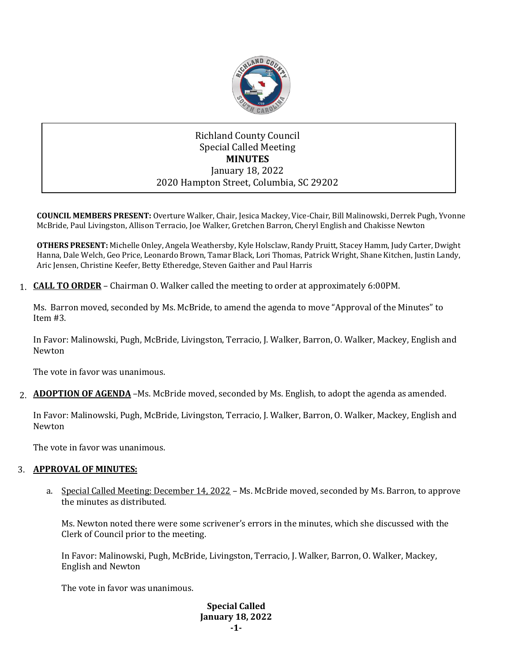

## Richland County Council Special Called Meeting **MINUTES** January 18, 2022 2020 Hampton Street, Columbia, SC 29202

**COUNCIL MEMBERS PRESENT:** Overture Walker, Chair, Jesica Mackey, Vice-Chair, Bill Malinowski, Derrek Pugh, Yvonne McBride, Paul Livingston, Allison Terracio, Joe Walker, Gretchen Barron, Cheryl English and Chakisse Newton

**OTHERS PRESENT:** Michelle Onley, Angela Weathersby, Kyle Holsclaw, Randy Pruitt, Stacey Hamm, Judy Carter, Dwight Hanna, Dale Welch, Geo Price, Leonardo Brown, Tamar Black, Lori Thomas, Patrick Wright, Shane Kitchen, Justin Landy, Aric Jensen, Christine Keefer, Betty Etheredge, Steven Gaither and Paul Harris

1. **CALL TO ORDER** – Chairman O. Walker called the meeting to order at approximately 6:00PM.

Ms. Barron moved, seconded by Ms. McBride, to amend the agenda to move "Approval of the Minutes" to Item #3.

In Favor: Malinowski, Pugh, McBride, Livingston, Terracio, J. Walker, Barron, O. Walker, Mackey, English and Newton

The vote in favor was unanimous.

2. **ADOPTION OF AGENDA** –Ms. McBride moved, seconded by Ms. English, to adopt the agenda as amended.

In Favor: Malinowski, Pugh, McBride, Livingston, Terracio, J. Walker, Barron, O. Walker, Mackey, English and Newton

The vote in favor was unanimous.

## 3. **APPROVAL OF MINUTES:**

a. Special Called Meeting: December 14, 2022 – Ms. McBride moved, seconded by Ms. Barron, to approve the minutes as distributed.

Ms. Newton noted there were some scrivener's errors in the minutes, which she discussed with the Clerk of Council prior to the meeting.

In Favor: Malinowski, Pugh, McBride, Livingston, Terracio, J. Walker, Barron, O. Walker, Mackey, English and Newton

The vote in favor was unanimous.

**Special Called January 18, 2022 -1-**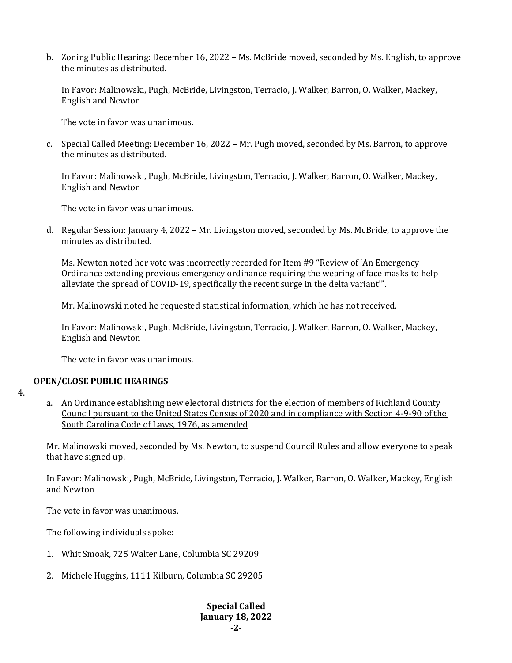b. Zoning Public Hearing: December 16, 2022 – Ms. McBride moved, seconded by Ms. English, to approve the minutes as distributed.

In Favor: Malinowski, Pugh, McBride, Livingston, Terracio, J. Walker, Barron, O. Walker, Mackey, English and Newton

The vote in favor was unanimous.

c. Special Called Meeting: December 16, 2022 – Mr. Pugh moved, seconded by Ms. Barron, to approve the minutes as distributed.

In Favor: Malinowski, Pugh, McBride, Livingston, Terracio, J. Walker, Barron, O. Walker, Mackey, English and Newton

The vote in favor was unanimous.

d. Regular Session: January 4, 2022 – Mr. Livingston moved, seconded by Ms. McBride, to approve the minutes as distributed.

Ms. Newton noted her vote was incorrectly recorded for Item #9 "Review of 'An Emergency Ordinance extending previous emergency ordinance requiring the wearing of face masks to help alleviate the spread of COVID-19, specifically the recent surge in the delta variant'".

Mr. Malinowski noted he requested statistical information, which he has not received.

In Favor: Malinowski, Pugh, McBride, Livingston, Terracio, J. Walker, Barron, O. Walker, Mackey, English and Newton

The vote in favor was unanimous.

## **OPEN/CLOSE PUBLIC HEARINGS**

- 4.
- a. An Ordinance establishing new electoral districts for the election of members of Richland County Council pursuant to the United States Census of 2020 and in compliance with Section 4-9-90 of the South Carolina Code of Laws, 1976, as amended

Mr. Malinowski moved, seconded by Ms. Newton, to suspend Council Rules and allow everyone to speak that have signed up.

In Favor: Malinowski, Pugh, McBride, Livingston, Terracio, J. Walker, Barron, O. Walker, Mackey, English and Newton

The vote in favor was unanimous.

The following individuals spoke:

- 1. Whit Smoak, 725 Walter Lane, Columbia SC 29209
- 2. Michele Huggins, 1111 Kilburn, Columbia SC 29205

## **Special Called January 18, 2022 -2-**